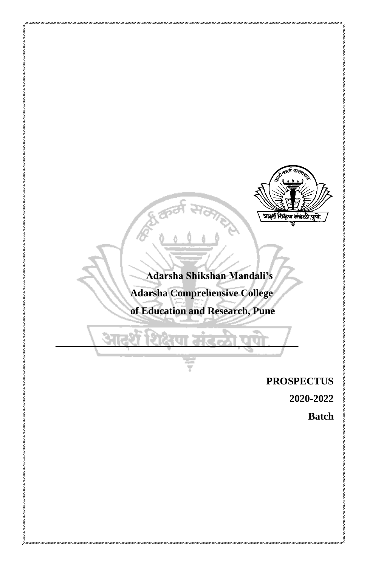

# **Adarsha Shikshan Mandali's Adarsha Comprehensive College**

 **of Education and Research, Pune**

## **PROSPECTUS**

**2020-2022** 

**Batch**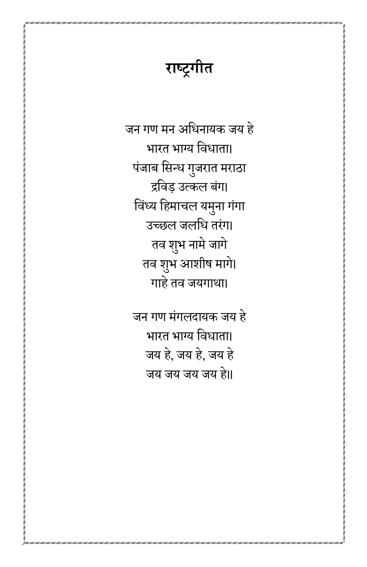# **राष्ट्रगीत**

जन गण मन अधधनायक जय हे भारत भाग्य धिधाता। पंजाब सिन्ध गुजरात मराठा द्रधिड़ उत्कल बंग। विंध्य हिमाचल यमुना गंगा उच्छल जलधि तरंग। तव शुभ नामे जागे तव शुभ आशीष मागे। गाहे तव जयगाथा।

जन गण मंगलदायक जय हे भारत भाग्य धिधाता। जय हे, जय हे, जय हे जय जय जय जय हे॥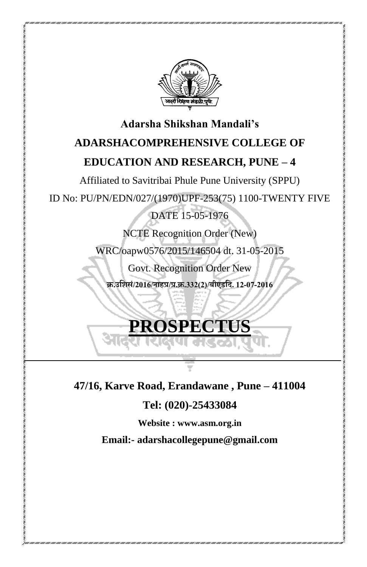

# **Adarsha Shikshan Mandali's ADARSHACOMPREHENSIVE COLLEGE OF EDUCATION AND RESEARCH, PUNE – 4**

Affiliated to Savitribai Phule Pune University (SPPU)

ID No: PU/PN/EDN/027/(1970)UPF-253(75) 1100-TWENTY FIVE

DATE 15-05-1976

NCTE Recognition Order (New)

WRC/oapw0576/2015/146504 dt. 31-05-2015

Govt. Recognition Order New

**क्र.उशिसं/2016/नाहप्र/प्र.क्र.332(2)/बीएडशि.12-07-2016**

# **PROSPECTUS**

**47/16, Karve Road, Erandawane , Pune – 411004**

**Tel: (020)-25433084** 

**Website : www.asm.org.in** 

**Email:- adarshacollegepune@gmail.com**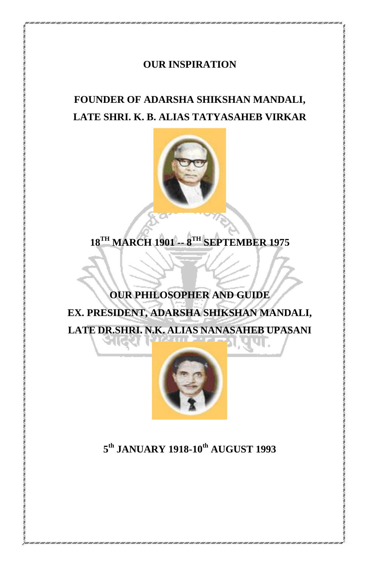### **OUR INSPIRATION**

# **FOUNDER OF ADARSHA SHIKSHAN MANDALI, LATE SHRI. K. B. ALIAS TATYASAHEB VIRKAR**



**18TH MARCH 1901 -- 8 TH SEPTEMBER 1975**

# **OUR PHILOSOPHER AND GUIDE EX. PRESIDENT, ADARSHA SHIKSHAN MANDALI, LATE DR.SHRI. N.K. ALIAS NANASAHEB UPASANI**



### **5 th JANUARY 1918-10th AUGUST 1993**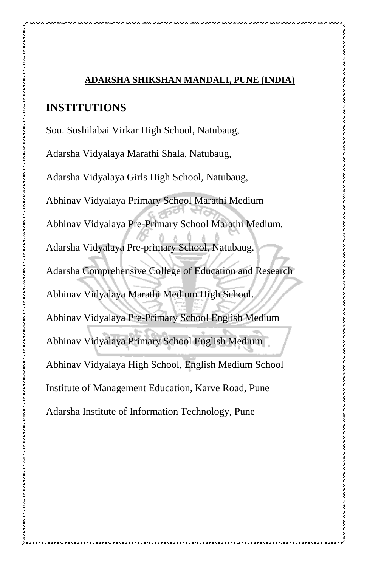#### **ADARSHA SHIKSHAN MANDALI, PUNE (INDIA)**

#### **INSTITUTIONS**

Sou. Sushilabai Virkar High School, Natubaug, Adarsha Vidyalaya Marathi Shala, Natubaug, Adarsha Vidyalaya Girls High School, Natubaug, Abhinav Vidyalaya Primary School Marathi Medium Abhinav Vidyalaya Pre-Primary School Marathi Medium. Adarsha Vidyalaya Pre-primary School, Natubaug. Adarsha Comprehensive College of Education and Research Abhinav Vidyalaya Marathi Medium High School. Abhinav Vidyalaya Pre-Primary School English Medium Abhinav Vidyalaya Primary School English Medium Abhinav Vidyalaya High School, English Medium School Institute of Management Education, Karve Road, Pune Adarsha Institute of Information Technology, Pune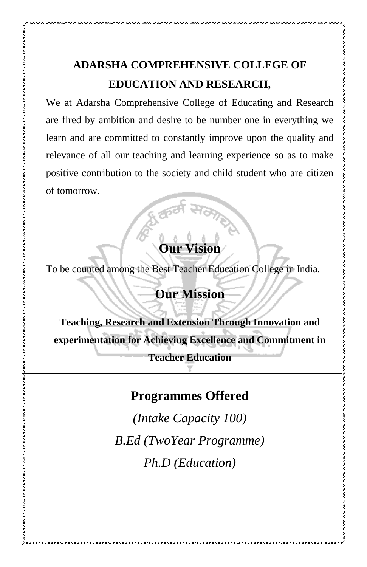# **ADARSHA COMPREHENSIVE COLLEGE OF EDUCATION AND RESEARCH,**

We at Adarsha Comprehensive College of Educating and Research are fired by ambition and desire to be number one in everything we learn and are committed to constantly improve upon the quality and relevance of all our teaching and learning experience so as to make positive contribution to the society and child student who are citizen of tomorrow.

# **Our Vision**

To be counted among the Best Teacher Education College in India.

# **Our Mission**

**Teaching, Research and Extension Through Innovation and experimentation for Achieving Excellence and Commitment in Teacher Education** 

## **Programmes Offered**

*(Intake Capacity 100) B.Ed (TwoYear Programme) Ph.D (Education)*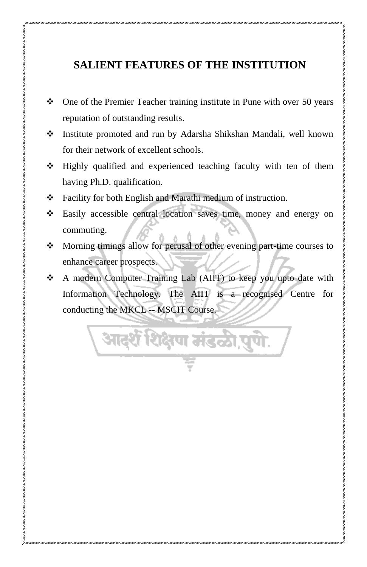## **SALIENT FEATURES OF THE INSTITUTION**

- One of the Premier Teacher training institute in Pune with over 50 years reputation of outstanding results.
- Institute promoted and run by Adarsha Shikshan Mandali, well known for their network of excellent schools.
- Highly qualified and experienced teaching faculty with ten of them having Ph.D. qualification.
- Facility for both English and Marathi medium of instruction.
- Easily accessible central location saves time, money and energy on commuting.
- $\bullet$  Morning timings allow for perusal of other evening part-time courses to enhance career prospects.
- A modern Computer Training Lab (AIIT) to keep you upto date with Information Technology. The AIIT is a recognised Centre for conducting the MKCL -- MSCIT Course.

आदर्श शिक्षण मंडळी,पुणे.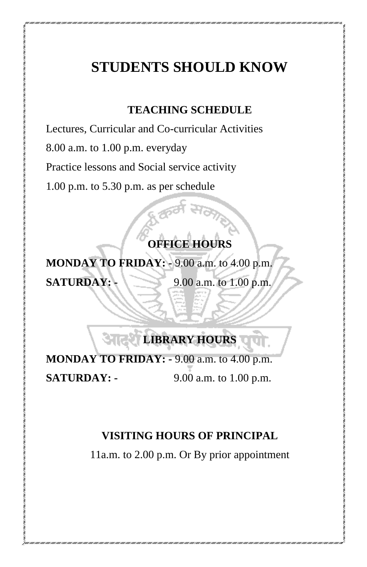# **STUDENTS SHOULD KNOW**

## **TEACHING SCHEDULE**

Lectures, Curricular and Co-curricular Activities

8.00 a.m. to 1.00 p.m. everyday

Practice lessons and Social service activity

1.00 p.m. to 5.30 p.m. as per schedule

# **OFFICE HOURS**

**MONDAY TO FRIDAY: -** 9.00 a.m. to 4.00 p.m. **SATURDAY:** 9.00 a.m. to 1.00 p.m.

# **LIBRARY HOURS**

**MONDAY TO FRIDAY: -** 9.00 a.m. to 4.00 p.m. **SATURDAY: -** 9.00 a.m. to 1.00 p.m.

## **VISITING HOURS OF PRINCIPAL**

11a.m. to 2.00 p.m. Or By prior appointment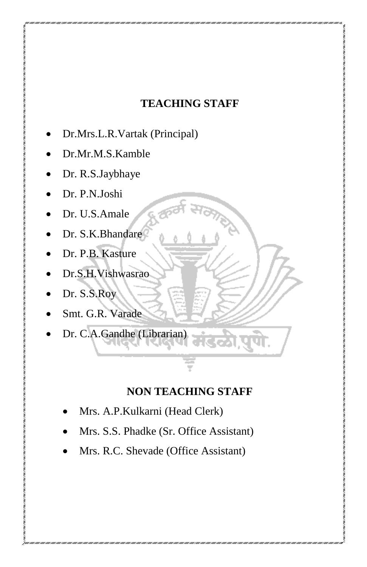## **TEACHING STAFF**

- Dr.Mrs.L.R.Vartak (Principal)
- Dr.Mr.M.S.Kamble
- Dr. R.S.Jaybhaye
- Dr. P.N.Joshi
- Dr. U.S.Amale
- Dr. S.K.Bhandare
- Dr. P.B. Kasture
- Dr.S.H.Vishwasrao
- Dr. S.S.Roy
- Smt. G.R. Varade
- Dr. C.A.Gandhe (Librarian)

## **NON TEACHING STAFF**

- Mrs. A.P.Kulkarni (Head Clerk)
- Mrs. S.S. Phadke (Sr. Office Assistant)
- Mrs. R.C. Shevade (Office Assistant)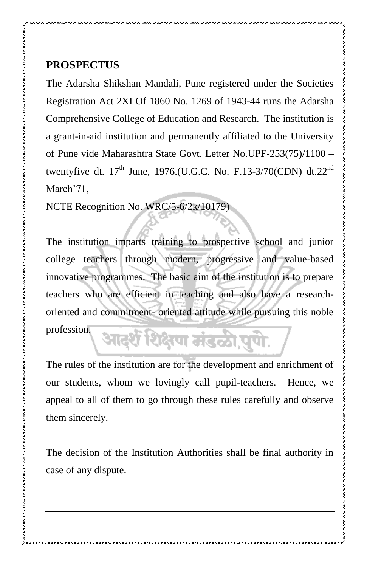## **PROSPECTUS**

The Adarsha Shikshan Mandali, Pune registered under the Societies Registration Act 2XI Of 1860 No. 1269 of 1943-44 runs the Adarsha Comprehensive College of Education and Research. The institution is a grant-in-aid institution and permanently affiliated to the University of Pune vide Maharashtra State Govt. Letter No.UPF-253(75)/1100 – twentyfive dt.  $17^{th}$  June, 1976.(U.G.C. No. F.13-3/70(CDN) dt.22<sup>nd</sup> March'71,

NCTE Recognition No. WRC/5-6/2k/10179)

The institution imparts training to prospective school and junior college teachers through modern, progressive and value-based innovative programmes. The basic aim of the institution is to prepare teachers who are efficient in teaching and also have a researchoriented and commitment- oriented attitude while pursuing this noble profession. आदर्शे शिक्षण मंडळी,पुणे.

The rules of the institution are for the development and enrichment of our students, whom we lovingly call pupil-teachers. Hence, we appeal to all of them to go through these rules carefully and observe them sincerely.

The decision of the Institution Authorities shall be final authority in case of any dispute.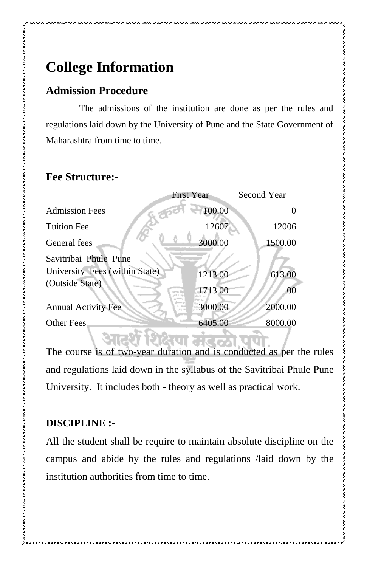# **College Information**

## **Admission Procedure**

The admissions of the institution are done as per the rules and regulations laid down by the University of Pune and the State Government of Maharashtra from time to time.

## **Fee Structure:-**

|                                | <b>First Year</b> | Second Year |
|--------------------------------|-------------------|-------------|
| <b>Admission Fees</b>          | 100.00            |             |
| <b>Tuition Fee</b>             | 12607             | 12006       |
| General fees                   | 3000.00           | 1500.00     |
| Savitribai Phule Pune          |                   |             |
| University Fees (within State) | 1213.00           | 613.00      |
| (Outside State)                | 1713.00           | 00          |
| <b>Annual Activity Fee</b>     | 3000.00           | 2000.00     |
| Other Fees                     | 6405.00           | 8000.00     |

itarkuri<del>k</del>a

The course is of two-year duration and is conducted as per the rules and regulations laid down in the syllabus of the Savitribai Phule Pune University. It includes both - theory as well as practical work.

## **DISCIPLINE :-**

All the student shall be require to maintain absolute discipline on the campus and abide by the rules and regulations /laid down by the institution authorities from time to time.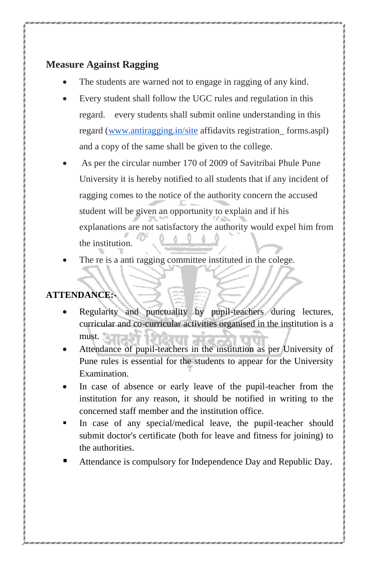### **Measure Against Ragging**

- The students are warned not to engage in ragging of any kind.
- Every student shall follow the UGC rules and regulation in this regard. every students shall submit online understanding in this regard [\(www.antiragging.in/site](http://www.antiragging.in/site) affidavits registration\_ forms.aspl) and a copy of the same shall be given to the college.
- As per the circular number 170 of 2009 of Savitribai Phule Pune University it is hereby notified to all students that if any incident of ragging comes to the notice of the authority concern the accused student will be given an opportunity to explain and if his explanations are not satisfactory the authority would expel him from the institution.
- The re is a anti ragging committee instituted in the colege.

## **ATTENDANCE:-**

- Regularity and punctuality by pupil-teachers during lectures, curricular and co-curricular activities organised in the institution is a must.
- Attendance of pupil-teachers in the institution as per University of Pune rules is essential for the students to appear for the University Examination.
- In case of absence or early leave of the pupil-teacher from the institution for any reason, it should be notified in writing to the concerned staff member and the institution office.
- In case of any special/medical leave, the pupil-teacher should submit doctor's certificate (both for leave and fitness for joining) to the authorities.
- Attendance is compulsory for Independence Day and Republic Day.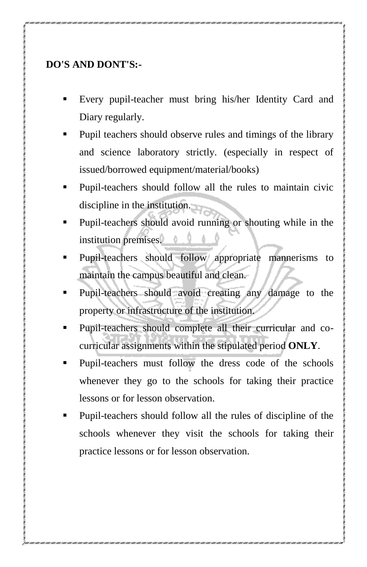## **DO'S AND DONT'S:-**

- Every pupil-teacher must bring his/her Identity Card and Diary regularly.
- Pupil teachers should observe rules and timings of the library and science laboratory strictly. (especially in respect of issued/borrowed equipment/material/books)
- Pupil-teachers should follow all the rules to maintain civic discipline in the institution.
- Pupil-teachers should avoid running or shouting while in the institution premises.
- Pupil-teachers should follow appropriate mannerisms to maintain the campus beautiful and clean.
- Pupil-teachers should avoid creating any damage to the property or infrastructure of the institution.
- Pupil-teachers should complete all their curricular and cocurricular assignments within the stipulated period **ONLY**.
- Pupil-teachers must follow the dress code of the schools whenever they go to the schools for taking their practice lessons or for lesson observation.
- Pupil-teachers should follow all the rules of discipline of the schools whenever they visit the schools for taking their practice lessons or for lesson observation.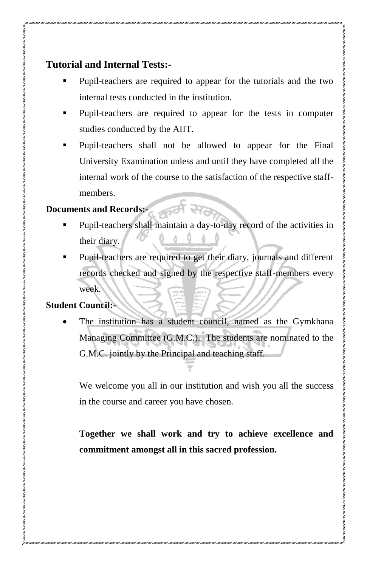#### **Tutorial and Internal Tests:-**

- Pupil-teachers are required to appear for the tutorials and the two internal tests conducted in the institution.
- Pupil-teachers are required to appear for the tests in computer studies conducted by the AIIT.
- Pupil-teachers shall not be allowed to appear for the Final University Examination unless and until they have completed all the internal work of the course to the satisfaction of the respective staffmembers.

#### **Documents and Records:-**

- Pupil-teachers shall maintain a day-to-day record of the activities in their diary.
- Pupil-teachers are required to get their diary, journals and different records checked and signed by the respective staff-members every week.

#### **Student Council:-**

 The institution has a student council, named as the Gymkhana Managing Committee (G.M.C.). The students are nominated to the G.M.C. jointly by the Principal and teaching staff.

We welcome you all in our institution and wish you all the success in the course and career you have chosen.

**Together we shall work and try to achieve excellence and commitment amongst all in this sacred profession.**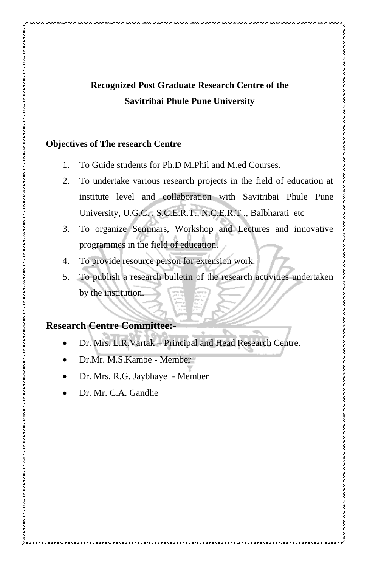## **Recognized Post Graduate Research Centre of the Savitribai Phule Pune University**

#### **Objectives of The research Centre**

- 1. To Guide students for Ph.D M.Phil and M.ed Courses.
- 2. To undertake various research projects in the field of education at institute level and collaboration with Savitribai Phule Pune University, U.G.C. , S.C.E.R.T., N.C.E.R.T ., Balbharati etc
- 3. To organize Seminars, Workshop and Lectures and innovative programmes in the field of education.
- 4. To provide resource person for extension work.
- 5. To publish a research bulletin of the research activities undertaken by the institution.

#### **Research Centre Committee:-**

- Dr. Mrs. L.R.Vartak Principal and Head Research Centre.
- Dr.Mr. M.S.Kambe Member
- Dr. Mrs. R.G. Jaybhaye Member
- Dr. Mr. C.A. Gandhe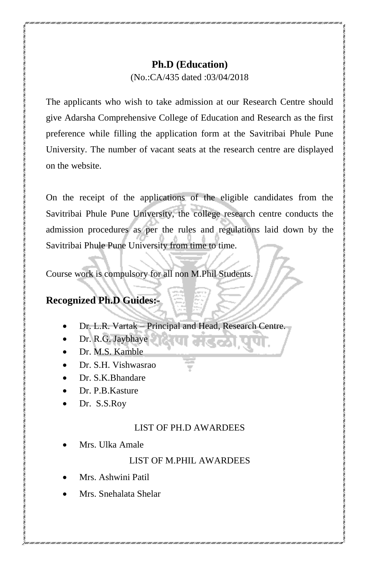#### **Ph.D (Education)**

(No.:CA/435 dated :03/04/2018

The applicants who wish to take admission at our Research Centre should give Adarsha Comprehensive College of Education and Research as the first preference while filling the application form at the Savitribai Phule Pune University. The number of vacant seats at the research centre are displayed on the website.

On the receipt of the applications of the eligible candidates from the Savitribai Phule Pune University, the college research centre conducts the admission procedures as per the rules and regulations laid down by the Savitribai Phule Pune University from time to time.

Course work is compulsory for all non M.Phil Students.

## **Recognized Ph.D Guides:-**

- Dr. L.R. Vartak Principal and Head, Research Centre.
- Dr. R.G. Jaybhaye
- Dr. M.S. Kamble
- Dr. S.H. Vishwasrao
- Dr. S.K.Bhandare
- Dr. P.B. Kasture.
- Dr. S.S.Roy

#### LIST OF PH.D AWARDEES

Mrs. Ulka Amale

#### LIST OF M.PHIL AWARDEES

- Mrs. Ashwini Patil
- Mrs. Snehalata Shelar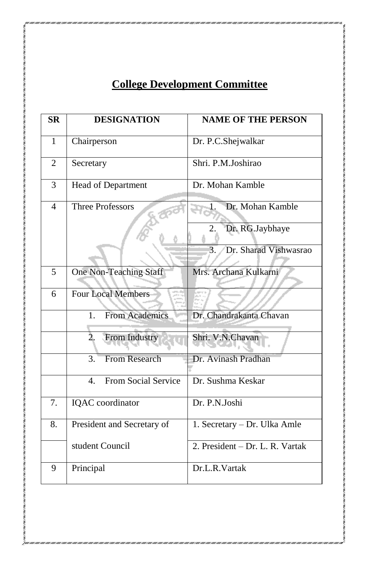# **College Development Committee**

| <b>SR</b>      | <b>DESIGNATION</b>                    | <b>NAME OF THE PERSON</b>       |
|----------------|---------------------------------------|---------------------------------|
| $\mathbf{1}$   | Chairperson                           | Dr. P.C.Shejwalkar              |
| $\overline{2}$ | Secretary                             | Shri. P.M.Joshirao              |
| 3              | Head of Department                    | Dr. Mohan Kamble                |
| $\overline{4}$ | <b>Three Professors</b>               | Dr. Mohan Kamble                |
|                |                                       | Dr. RG.Jaybhaye<br>2.           |
|                |                                       | Dr. Sharad Vishwasrao<br>3.     |
| 5              | <b>One Non-Teaching Staff</b>         | Mrs. Archana Kulkarni           |
| 6              | <b>Four Local Members</b>             |                                 |
|                | <b>From Academics</b><br>1.           | Dr. Chandrakanta Chavan         |
|                | From Industry<br>2.                   | Shri. V.N.Chavan                |
|                | <b>From Research</b><br>3.            | Dr. Avinash Pradhan             |
|                | From Social Service<br>$\mathbf{4}$ . | Dr. Sushma Keskar               |
| 7.             | IQAC coordinator                      | Dr. P.N.Joshi                   |
| 8.             | President and Secretary of            | 1. Secretary - Dr. Ulka Amle    |
|                | student Council                       | 2. President – Dr. L. R. Vartak |
| 9              | Principal                             | Dr.L.R.Vartak                   |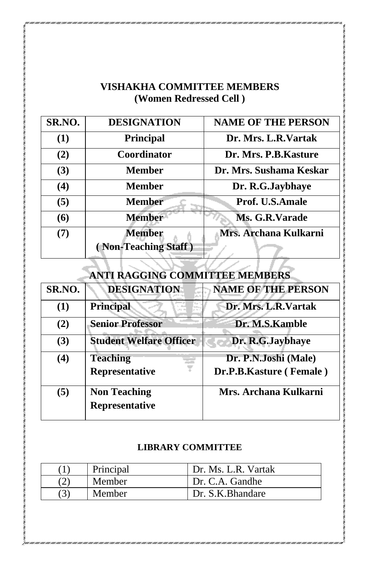## **VISHAKHA COMMITTEE MEMBERS (Women Redressed Cell )**

| SR.NO. | <b>DESIGNATION</b>                    | <b>NAME OF THE PERSON</b> |
|--------|---------------------------------------|---------------------------|
| (1)    | Principal                             | Dr. Mrs. L.R.Vartak       |
| (2)    | <b>Coordinator</b>                    | Dr. Mrs. P.B. Kasture     |
| (3)    | Member                                | Dr. Mrs. Sushama Keskar   |
| (4)    | Member                                | Dr. R.G.Jaybhaye          |
| (5)    | <b>Member</b>                         | <b>Prof. U.S.Amale</b>    |
| (6)    | <b>Member</b>                         | Ms. G.R.Varade            |
| (7)    | <b>Member</b><br>(Non-Teaching Staff) | Mrs. Archana Kulkarni     |
|        |                                       |                           |

| ANTI RAGGING COMMITTEE MEMBERS |                                       |                                                 |
|--------------------------------|---------------------------------------|-------------------------------------------------|
| SR.NO.                         | <b>DESIGNATION</b>                    | <b>NAME OF THE PERSON</b>                       |
| (1)                            | Principal                             | Dr. Mrs. L.R. Vartak                            |
| (2)                            | <b>Senior Professor</b>               | Dr. M.S.Kamble                                  |
| (3)                            | <b>Student Welfare Officer</b>        | Dr. R.G.Jaybhaye                                |
| $\left( 4\right)$              | <b>Teaching</b><br>Representative     | Dr. P.N.Joshi (Male)<br>Dr.P.B.Kasture (Female) |
| (5)                            | <b>Non Teaching</b><br>Representative | Mrs. Archana Kulkarni                           |

#### **LIBRARY COMMITTEE**

| Principal     | Dr. Ms. L.R. Vartak |
|---------------|---------------------|
| Member        | Dr. C.A. Gandhe     |
| <b>Member</b> | Dr. S.K. Bhandare   |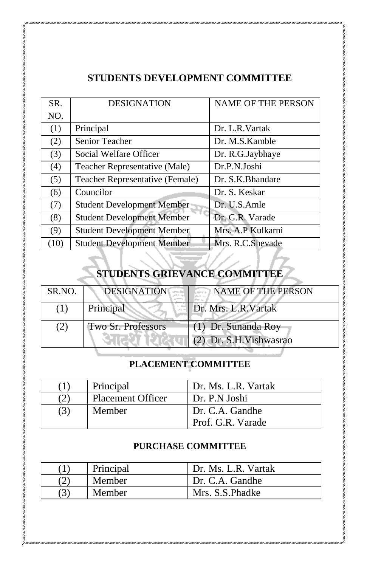## **STUDENTS DEVELOPMENT COMMITTEE**

| SR.  | <b>DESIGNATION</b>                | <b>NAME OF THE PERSON</b> |
|------|-----------------------------------|---------------------------|
| NO.  |                                   |                           |
| (1)  | Principal                         | Dr. L.R.Vartak            |
| (2)  | Senior Teacher                    | Dr. M.S. Kamble           |
| (3)  | Social Welfare Officer            | Dr. R.G.Jaybhaye          |
| (4)  | Teacher Representative (Male)     | Dr.P.N.Joshi              |
| (5)  | Teacher Representative (Female)   | Dr. S.K. Bhandare         |
| (6)  | Councilor                         | Dr. S. Keskar             |
| (7)  | <b>Student Development Member</b> | Dr. U.S.Amle              |
| (8)  | <b>Student Development Member</b> | Dr. G.R. Varade           |
| (9)  | <b>Student Development Member</b> | Mrs. A.P Kulkarni         |
| (10) | <b>Student Development Member</b> | Mrs. R.C.Shevade          |

# **STUDENTS GRIEVANCE COMMITTEE**

| SR.NO. | <b>DESIGNATION</b> | <b>NAME OF THE PERSON</b>                      |
|--------|--------------------|------------------------------------------------|
| (1)    | Principal          | Dr. Mrs. L.R. Vartak                           |
| (2)    | Two Sr. Professors | (1) Dr. Sunanda Roy<br>(2) Dr. S.H. Vishwasrao |

## **PLACEMENT COMMITTEE**

|     | Principal                | Dr. Ms. L.R. Vartak                  |
|-----|--------------------------|--------------------------------------|
| (2) | <b>Placement Officer</b> | Dr. P.N Joshi                        |
| (3) | Member                   | Dr. C.A. Gandhe<br>Prof. G.R. Varade |

#### **PURCHASE COMMITTEE**

| Principal | Dr. Ms. L.R. Vartak |
|-----------|---------------------|
| Member    | Dr. C.A. Gandhe     |
| Member    | Mrs. S.S. Phadke    |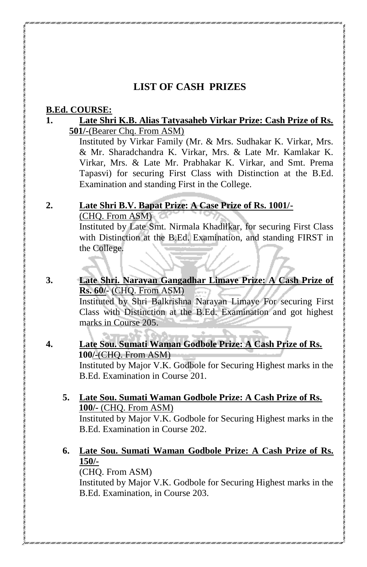### **LIST OF CASH PRIZES**

#### **B.Ed. COURSE:**

#### **1. Late Shri K.B. Alias Tatyasaheb Virkar Prize: Cash Prize of Rs. 501/-**(Bearer Chq. From ASM)

Instituted by Virkar Family (Mr. & Mrs. Sudhakar K. Virkar, Mrs. & Mr. Sharadchandra K. Virkar, Mrs. & Late Mr. Kamlakar K. Virkar, Mrs. & Late Mr. Prabhakar K. Virkar, and Smt. Prema Tapasvi) for securing First Class with Distinction at the B.Ed. Examination and standing First in the College.

#### **2. Late Shri B.V. Bapat Prize: A Case Prize of Rs. 1001/-** (CHQ. From ASM)

Instituted by Late Smt. Nirmala Khadilkar, for securing First Class with Distinction at the B.Ed. Examination, and standing FIRST in the College.

**3. Late Shri. Narayan Gangadhar Limaye Prize: A Cash Prize of Rs. 60/-** (CHQ. From ASM) Instituted by Shri Balkrishna Narayan Limaye For securing First Class with Distinction at the B.Ed. Examination and got highest marks in Course 205.

#### **4. Late Sou. Sumati Waman Godbole Prize: A Cash Prize of Rs. 100/-**(CHQ. From ASM) Instituted by Major V.K. Godbole for Securing Highest marks in the

B.Ed. Examination in Course 201.

#### **5. Late Sou. Sumati Waman Godbole Prize: A Cash Prize of Rs. 100/-** (CHQ. From ASM)

Instituted by Major V.K. Godbole for Securing Highest marks in the B.Ed. Examination in Course 202.

## **6. Late Sou. Sumati Waman Godbole Prize: A Cash Prize of Rs. 150/-**

(CHQ. From ASM)

Instituted by Major V.K. Godbole for Securing Highest marks in the B.Ed. Examination, in Course 203.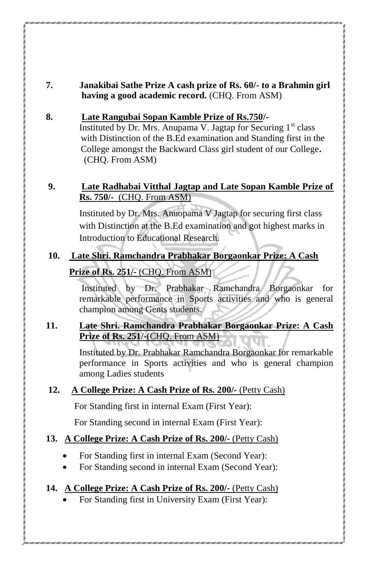#### **7. Janakibai Sathe Prize A cash prize of Rs. 60/- to a Brahmin girl having a good academic record.** (CHQ. From ASM)

#### **8. Late Rangubai Sopan Kamble Prize of Rs.750/-**

**Instituted by Dr. Mrs. Anupama V. Jagtap for Securing**  $1<sup>st</sup>$  **class**  with Distinction of the B.Ed examination and Standing first in the College amongst the Backward Class girl student of our College**.** (CHQ. From ASM)

#### **9. Late Radhabai Vitthal Jagtap and Late Sopan Kamble Prize of Rs. 750/-** (CHQ. From ASM)

Instituted by Dr. Mrs. Anuopama V Jagtap for securing first class with Distinction at the B.Ed examination and got highest marks in Introduction to Educational Research.

## **10. Late Shri. Ramchandra Prabhakar Borgaonkar Prize: A Cash Prize of Rs. 251/-** (CHQ. From ASM)

Instituted by Dr. Prabhakar Ramchandra Borgaonkar for remarkable performance in Sports activities and who is general champion among Gents students.

#### **11. Late Shri. Ramchandra Prabhakar Borgaonkar Prize: A Cash Prize of Rs. 251/-**(CHQ. From ASM)

Instituted by Dr. Prabhakar Ramchandra Borgaonkar for remarkable performance in Sports activities and who is general champion among Ladies students

#### **12. A College Prize: A Cash Prize of Rs. 200/-** (Petty Cash)

For Standing first in internal Exam (First Year):

For Standing second in internal Exam (First Year):

#### **13. A College Prize: A Cash Prize of Rs. 200/-** (Petty Cash)

- For Standing first in internal Exam (Second Year):
- For Standing second in internal Exam (Second Year):

#### **14. A College Prize: A Cash Prize of Rs. 200/-** (Petty Cash)

For Standing first in University Exam (First Year):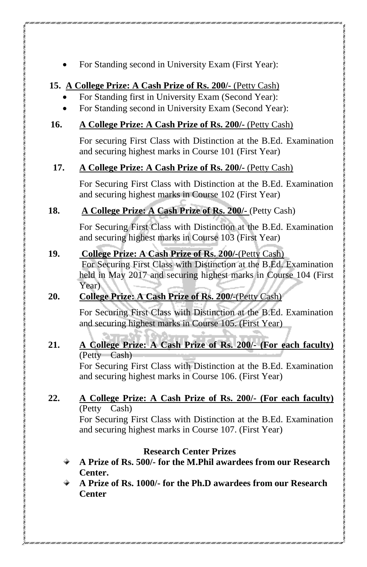For Standing second in University Exam (First Year):

#### **15. A College Prize: A Cash Prize of Rs. 200/-** (Petty Cash)

- For Standing first in University Exam (Second Year):
- For Standing second in University Exam (Second Year):

#### **16. A College Prize: A Cash Prize of Rs. 200/-** (Petty Cash)

For securing First Class with Distinction at the B.Ed. Examination and securing highest marks in Course 101 (First Year)

#### **17. A College Prize: A Cash Prize of Rs. 200/-** (Petty Cash)

For Securing First Class with Distinction at the B.Ed. Examination and securing highest marks in Course 102 (First Year)

#### **18. A College Prize: A Cash Prize of Rs. 200/-** (Petty Cash)

For Securing First Class with Distinction at the B.Ed. Examination and securing highest marks in Course 103 (First Year)

#### **19. College Prize: A Cash Prize of Rs. 200/-**(Petty Cash)

For Securing First Class with Distinction at the B.Ed. Examination held in May 2017 and securing highest marks in Course 104 (First Year)

#### **20. College Prize: A Cash Prize of Rs. 200/-**(Petty Cash)

For Securing First Class with Distinction at the B.Ed. Examination and securing highest marks in Course 105. (First Year)

### **21. A College Prize: A Cash Prize of Rs. 200/- (For each faculty)**  (Petty Cash)

For Securing First Class with Distinction at the B.Ed. Examination and securing highest marks in Course 106. (First Year)

#### **22. A College Prize: A Cash Prize of Rs. 200/- (For each faculty)**  (Petty Cash)

For Securing First Class with Distinction at the B.Ed. Examination and securing highest marks in Course 107. (First Year)

#### **Research Center Prizes**

- **A Prize of Rs. 500/- for the M.Phil awardees from our Research Center.**
- **A Prize of Rs. 1000/- for the Ph.D awardees from our Research Center**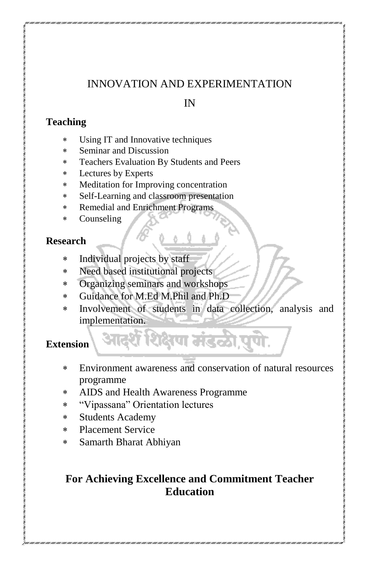## INNOVATION AND EXPERIMENTATION

#### IN

#### **Teaching**

- Using IT and Innovative techniques
- Seminar and Discussion
- Teachers Evaluation By Students and Peers
- Lectures by Experts
- Meditation for Improving concentration
- Self-Learning and classroom presentation
- Remedial and Enrichment Programs
- Counseling

#### **Research**

- Individual projects by staff
- Need based institutional projects
- Organizing seminars and workshops
- Guidance for M.Ed M.Phil and Ph.D
- Involvement of students in data collection, analysis and implementation.

आदर्शे शिक्षण मंडळी,पुणे.

#### **Extension**

- Environment awareness and conservation of natural resources programme
- AIDS and Health Awareness Programme
- "Vipassana" Orientation lectures
- Students Academy
- Placement Service
- Samarth Bharat Abhiyan

## **For Achieving Excellence and Commitment Teacher Education**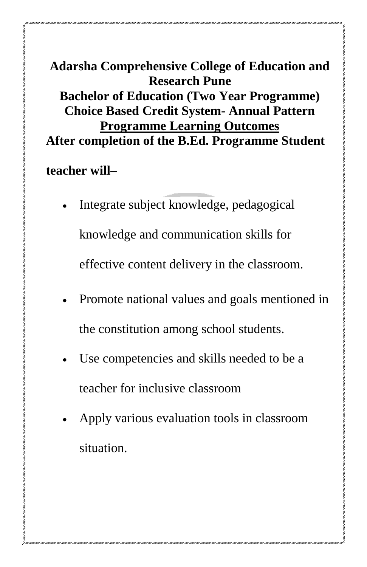# **Adarsha Comprehensive College of Education and Research Pune Bachelor of Education (Two Year Programme) Choice Based Credit System- Annual Pattern Programme Learning Outcomes After completion of the B.Ed. Programme Student**

## **teacher will–**

- Integrate subject knowledge, pedagogical knowledge and communication skills for effective content delivery in the classroom.
- Promote national values and goals mentioned in the constitution among school students.
- Use competencies and skills needed to be a teacher for inclusive classroom
- Apply various evaluation tools in classroom situation.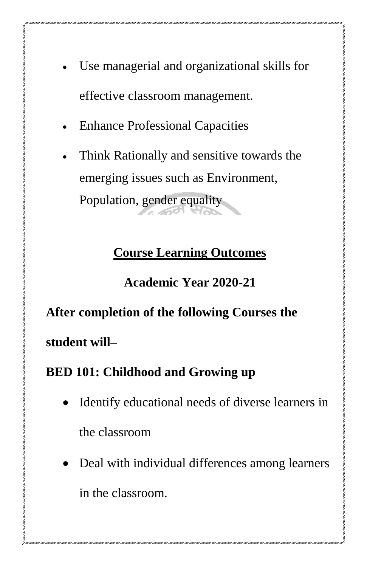- Use managerial and organizational skills for effective classroom management.
- Enhance Professional Capacities
- Think Rationally and sensitive towards the emerging issues such as Environment, Population, gender equality

# **Course Learning Outcomes**

**Academic Year 2020-21**

**After completion of the following Courses the** 

**student will–**

# **BED 101: Childhood and Growing up**

- Identify educational needs of diverse learners in the classroom
- Deal with individual differences among learners in the classroom.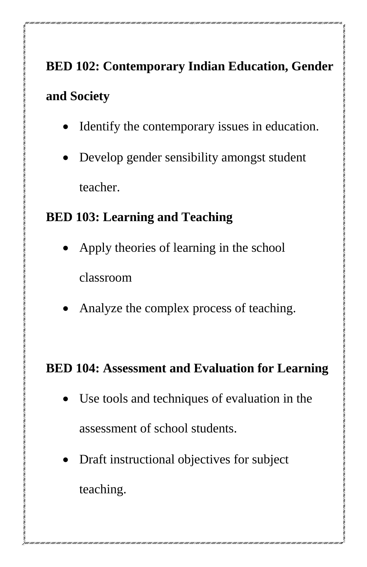# **BED 102: Contemporary Indian Education, Gender and Society**

- Identify the contemporary issues in education.
- Develop gender sensibility amongst student teacher.

## **BED 103: Learning and Teaching**

- Apply theories of learning in the school classroom
- Analyze the complex process of teaching.

## **BED 104: Assessment and Evaluation for Learning**

- Use tools and techniques of evaluation in the assessment of school students.
- Draft instructional objectives for subject teaching.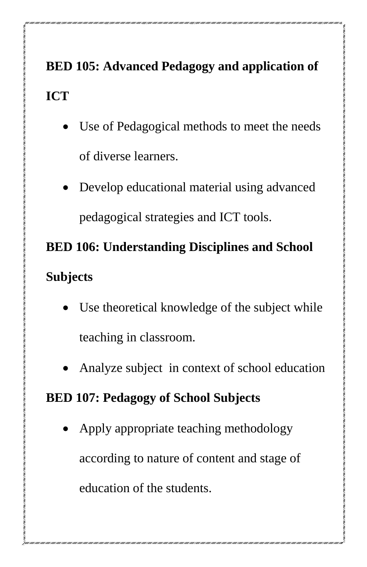# **BED 105: Advanced Pedagogy and application of ICT**

- Use of Pedagogical methods to meet the needs of diverse learners.
- Develop educational material using advanced pedagogical strategies and ICT tools.

# **BED 106: Understanding Disciplines and School Subjects**

- Use theoretical knowledge of the subject while teaching in classroom.
- Analyze subject in context of school education

# **BED 107: Pedagogy of School Subjects**

 Apply appropriate teaching methodology according to nature of content and stage of education of the students.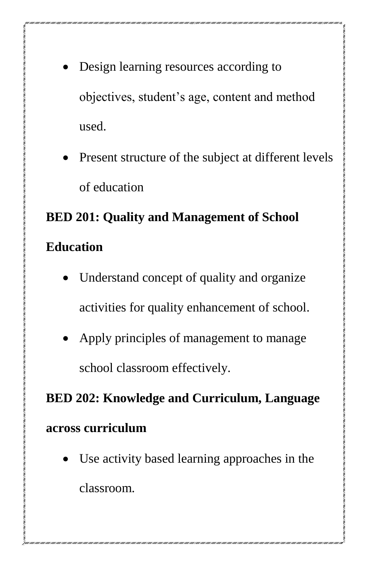- Design learning resources according to objectives, student's age, content and method used.
- Present structure of the subject at different levels of education

# **BED 201: Quality and Management of School Education**

- Understand concept of quality and organize activities for quality enhancement of school.
- Apply principles of management to manage school classroom effectively.

**BED 202: Knowledge and Curriculum, Language across curriculum**

 Use activity based learning approaches in the classroom.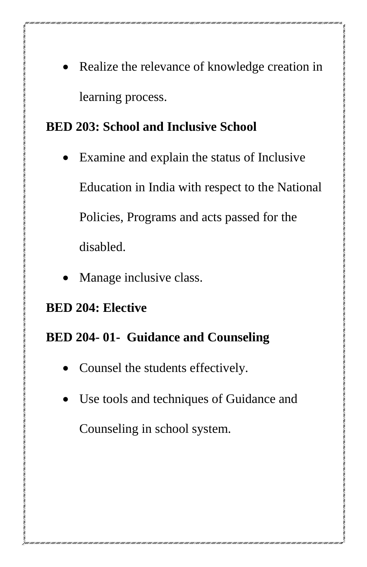Realize the relevance of knowledge creation in learning process.

# **BED 203: School and Inclusive School**

- Examine and explain the status of Inclusive Education in India with respect to the National Policies, Programs and acts passed for the disabled.
- Manage inclusive class.

## **BED 204: Elective**

# **BED 204- 01- Guidance and Counseling**

- Counsel the students effectively.
- Use tools and techniques of Guidance and Counseling in school system.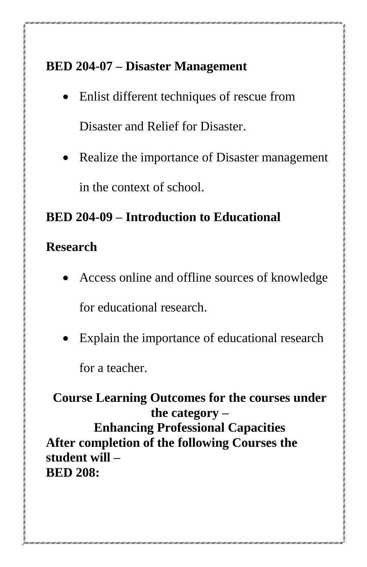# **BED 204-07 – Disaster Management**

- Enlist different techniques of rescue from Disaster and Relief for Disaster.
- Realize the importance of Disaster management in the context of school.

# **BED 204-09 – Introduction to Educational**

# **Research**

- Access online and offline sources of knowledge for educational research.
- Explain the importance of educational research for a teacher.

**Course Learning Outcomes for the courses under the category – Enhancing Professional Capacities After completion of the following Courses the student will – BED 208:**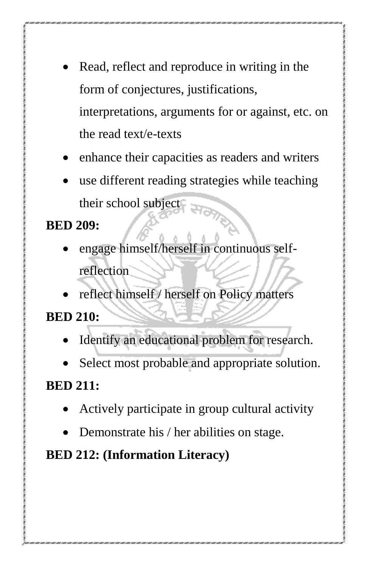- Read, reflect and reproduce in writing in the form of conjectures, justifications, interpretations, arguments for or against, etc. on the read text/e-texts
- enhance their capacities as readers and writers
- use different reading strategies while teaching their school subject

**BED 209:** 

- engage himself/herself in continuous selfreflection
- reflect himself / herself on Policy matters

**BED 210:** 

- Identify an educational problem for research.
- Select most probable and appropriate solution.

**BED 211:** 

- Actively participate in group cultural activity
- Demonstrate his / her abilities on stage.

**BED 212: (Information Literacy)**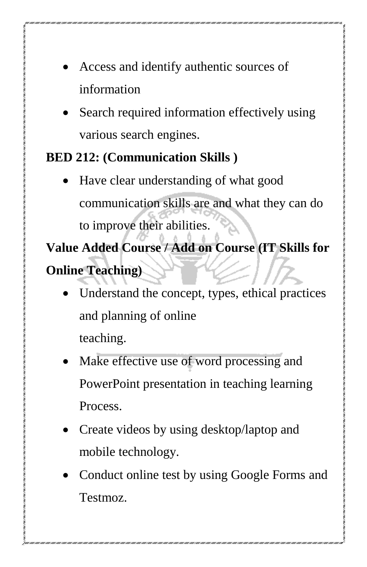- Access and identify authentic sources of information
- Search required information effectively using various search engines.

# **BED 212: (Communication Skills )**

 Have clear understanding of what good communication skills are and what they can do to improve their abilities.

**Value Added Course / Add on Course (IT Skills for Online Teaching)**

- Understand the concept, types, ethical practices and planning of online teaching.
- Make effective use of word processing and PowerPoint presentation in teaching learning Process.
- Create videos by using desktop/laptop and mobile technology.
- Conduct online test by using Google Forms and Testmoz.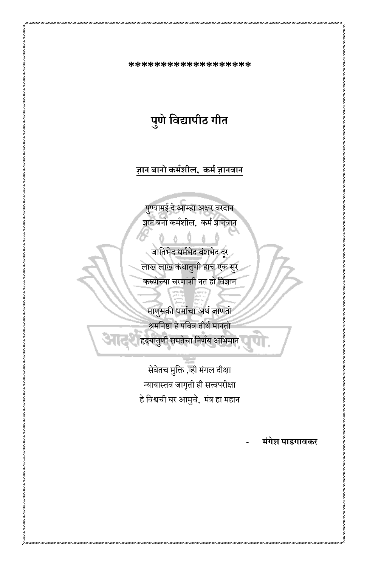**\*\*\*\*\*\*\*\*\*\*\*\*\*\*\*\*\*\*\*** 

**पुणेशिद्यापीठ गीत**

**ज्ञान बानो कर्मिील, कर्म ज्ञानिान**

पुण्यामई दे आम्हा अक्षर वरदान ज्ञान बनो कर्मशील, कर्म ज्ञानवान

जातिभेद धर्मभेद वंशभेद दर लाख लाख कंथातुणी हाच एक सरु करुणेच्या चरणांशी नत हो धिज्ञान

माणुसकी धर्माचा अर्थ जाणतो श्रमनिष्ठा हे पवित्र तीर्थ मानतो हृदयातुणी समतेचा निर्णय अभिमान

सेवेतच मुक्ति , ही मंगल दीक्षा न्यायास्तव जागृती ही सत्त्वपरीक्षा हे विश्वची घर आमुचे, मंत्र हा महान

- **र्ंगेि पाडगािकर**